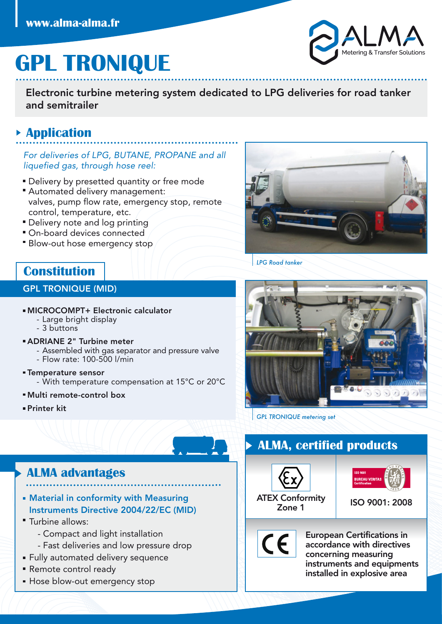# **GPL TRONIQUE**

Electronic turbine metering system dedicated to LPG deliveries for road tanker and semitrailer

### **Application**

For deliveries of LPG, BUTANE, PROPANE and all liquefied gas, through hose reel:

- **Delivery by presetted quantity or free mode**
- Automated delivery management: valves, pump flow rate, emergency stop, remote control, temperature, etc.
- **Delivery note and log printing**
- On-board devices connected
- Blow-out hose emergency stop

## **Constitution**

#### GPL TRONIQUE (MID)

- MICROCOMPT+ Electronic calculator
	- Large bright display
	- 3 buttons

#### ADRIANE 2" Turbine meter

- Assembled with gas separator and pressure valve
- Flow rate: 100-500 l/min
- **Temperature sensor** - With temperature compensation at 15°C or 20°C
- Multi remote-control box
- Printer kit



*LPG Road tanker*



*GPL TRONIQUE metering set*

## **ALMA, certified products**





ISO 9001: 2008

CE

European Certifications in accordance with directives concerning measuring instruments and equipments installed in explosive area

## **ALMA advantages**

- Material in conformity with Measuring Instruments Directive 2004/22/EC (MID)
- Turbine allows:
	- Compact and light installation
	- Fast deliveries and low pressure drop
- **Fully automated delivery sequence**
- Remote control ready
- **Hose blow-out emergency stop**